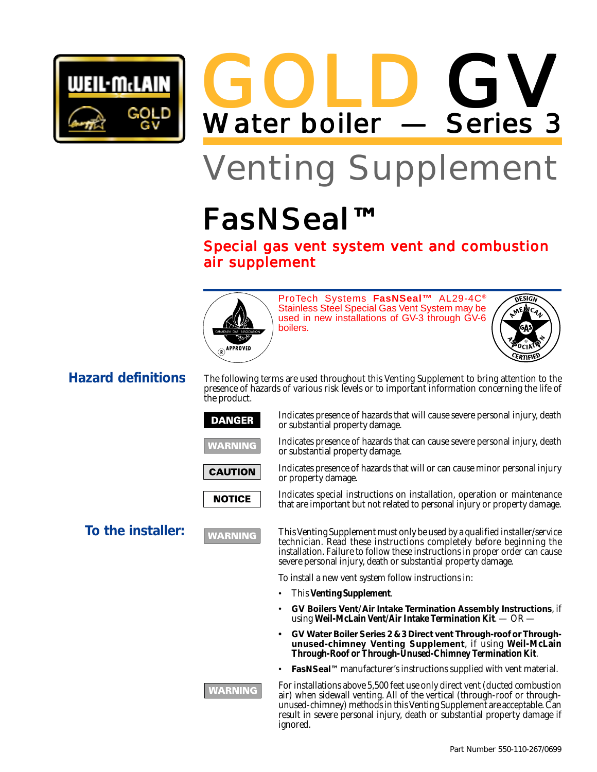

GOLD Water boiler — Series 3 GV

# Venting Supplement

# FasNSeal™

Special gas vent system vent and combustion air supplement



ProTech Systems **FasNSeal™** AL29-4C® Stainless Steel Special Gas Vent System may be used in new installations of GV-3 through GV-6 boilers.



### **Hazard definitions**

The following terms are used throughout this Venting Supplement to bring attention to the presence of hazards of various risk levels or to important information concerning the life of the product.

#### **DANGER**





**NOTICE** 



**NARNING** 

Indicates presence of hazards that will cause severe personal injury, death or substantial property damage.

Indicates presence of hazards that can cause severe personal injury, death or substantial property damage.

Indicates presence of hazards that will or can cause minor personal injury or property damage.

Indicates special instructions on installation, operation or maintenance that are important but not related to personal injury or property damage.

**To the installer: This Venting Supplement must only be used by a qualified installer/service** technician. Read these instructions completely before beginning the installation. Failure to follow these instructions in proper order can cause severe personal injury, death or substantial property damage.

To install a new vent system follow instructions in:

- This **Venting Supplement**.
- **GV Boilers Vent/Air Intake Termination Assembly Instructions**, if using **Weil-McLain Vent/Air Intake Termination Kit**. — OR —
- **• GV Water Boiler Series 2 & 3 Direct vent Through-roof or Throughunused-chimney Venting Supplement**, if using **Weil-McLain Through-Roof or Through-Unused-Chimney Termination Kit**.
- **FasNSeal™** manufacturer's instructions supplied with vent material.

For installations above 5,500 feet use only direct vent (ducted combustion air) when sidewall venting. All of the vertical (through-roof or throughunused-chimney) methods in this Venting Supplement are acceptable. Can result in severe personal injury, death or substantial property damage if ignored.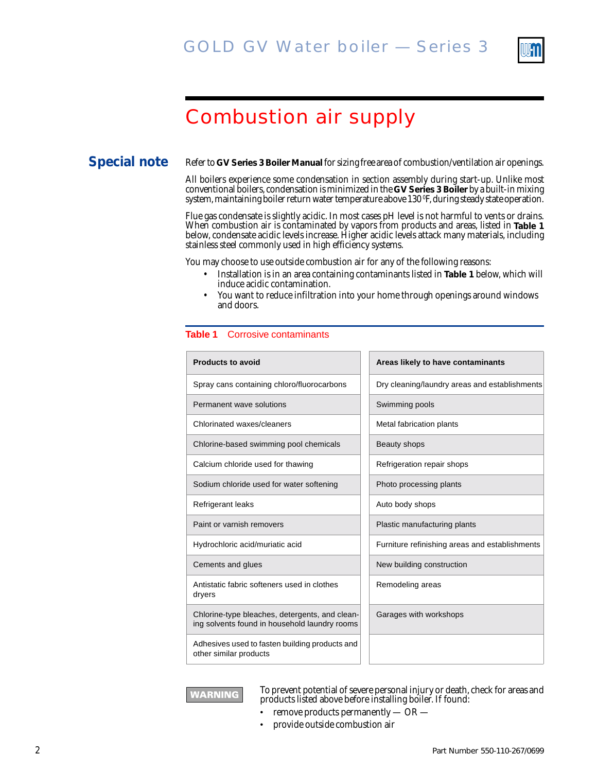

## Combustion air supply

#### **Special note**

Refer to **GV Series 3 Boiler Manual** for sizing free area of combustion/ventilation air openings.

All boilers experience some condensation in section assembly during start-up. Unlike most conventional boilers, condensation is minimized in the **GV Series 3 Boiler** by a built-in mixing system, maintaining boiler return water temperature above 130 ºF, during steady state operation.

Flue gas condensate is slightly acidic. In most cases pH level is not harmful to vents or drains. When combustion air is contaminated by vapors from products and areas, listed in **Table 1** below, condensate acidic levels increase. Higher acidic levels attack many materials, including stainless steel commonly used in high efficiency systems.

You may choose to use outside combustion air for any of the following reasons:

- Installation is in an area containing contaminants listed in **Table 1** below, which will induce acidic contamination.
- You want to reduce infiltration into your home through openings around windows and doors.

#### **Table 1** Corrosive contaminants

| <b>Products to avoid</b>                                                                        | Areas likely to have contaminants              |
|-------------------------------------------------------------------------------------------------|------------------------------------------------|
| Spray cans containing chloro/fluorocarbons                                                      | Dry cleaning/laundry areas and establishments  |
| Permanent wave solutions                                                                        | Swimming pools                                 |
| Chlorinated waxes/cleaners                                                                      | Metal fabrication plants                       |
| Chlorine-based swimming pool chemicals                                                          | Beauty shops                                   |
| Calcium chloride used for thawing                                                               | Refrigeration repair shops                     |
| Sodium chloride used for water softening                                                        | Photo processing plants                        |
| Refrigerant leaks                                                                               | Auto body shops                                |
| Paint or varnish removers                                                                       | Plastic manufacturing plants                   |
| Hydrochloric acid/muriatic acid                                                                 | Furniture refinishing areas and establishments |
| Cements and glues                                                                               | New building construction                      |
| Antistatic fabric softeners used in clothes<br>dryers                                           | Remodeling areas                               |
| Chlorine-type bleaches, detergents, and clean-<br>ing solvents found in household laundry rooms | Garages with workshops                         |
| Adhesives used to fasten building products and<br>other similar products                        |                                                |

| Metal fabrication plants                      |
|-----------------------------------------------|
| Beauty shops                                  |
| Refrigeration repair shops                    |
| Photo processing plants                       |
| Auto body shops                               |
| Plastic manufacturing plants                  |
| Furniture refinishing areas and establishment |
| New building construction                     |
| Remodeling areas                              |
| Garages with workshops                        |
|                                               |



To prevent potential of severe personal injury or death, check for areas and products listed above before installing boiler. If found:

- remove products permanently  $-$  OR  $-$
- provide outside combustion air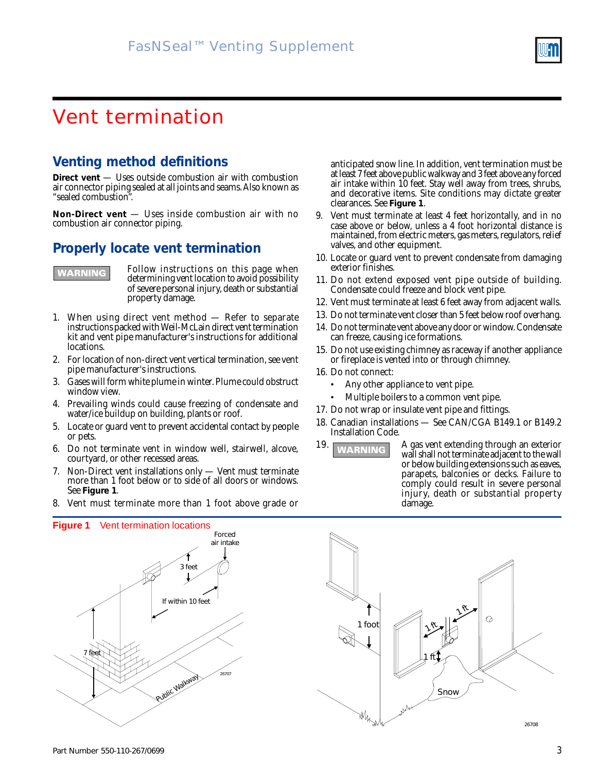### Vent termination

#### **Venting method definitions**

**Direct vent** — Uses outside combustion air with combustion air connector piping sealed at all joints and seams. Also known as "sealed combustion".

**Non-Direct vent** — Uses inside combustion air with no combustion air connector piping.

#### **Properly locate vent termination**



Follow instructions on this page when determining vent location to avoid possibility of severe personal injury, death or substantial property damage.

- 1. When using direct vent method Refer to separate instructions packed with Weil-McLain direct vent termination kit and vent pipe manufacturer's instructions for additional locations.
- 2. For location of non-direct vent vertical termination, see vent pipe manufacturer's instructions.
- 3. Gases will form white plume in winter. Plume could obstruct window view.
- 4. Prevailing winds could cause freezing of condensate and water/ice buildup on building, plants or roof.
- 5. Locate or guard vent to prevent accidental contact by people or pets.
- 6. Do not terminate vent in window well, stairwell, alcove, courtyard, or other recessed areas.
- 7. Non-Direct vent installations only Vent must terminate more than 1 foot below or to side of all doors or windows. See **Figure 1**.
- 8. Vent must terminate more than 1 foot above grade or

anticipated snow line. In addition, vent termination must be at least 7 feet above public walkway and 3 feet above any forced air intake within 10 feet. Stay well away from trees, shrubs, and decorative items. Site conditions may dictate greater clearances. See **Figure 1**.

- 9. Vent must terminate at least 4 feet horizontally, and in no case above or below, unless a 4 foot horizontal distance is maintained, from electric meters, gas meters, regulators, relief valves, and other equipment.
- 10. Locate or guard vent to prevent condensate from damaging exterior finishes.
- 11. Do not extend exposed vent pipe outside of building. Condensate could freeze and block vent pipe.
- 12. Vent must terminate at least 6 feet away from adjacent walls.
- 13. Do not terminate vent closer than 5 feet below roof overhang.
- 14. Do not terminate vent above any door or window. Condensate can freeze, causing ice formations.
- 15. Do not use existing chimney as raceway if another appliance or fireplace is vented into or through chimney.
- 16. Do not connect:
	- Any other appliance to vent pipe.
	- Multiple boilers to a common vent pipe.
- 17. Do not wrap or insulate vent pipe and fittings.
- 18. Canadian installations See CAN/CGA B149.1 or B149.2 Installation Code.
- 19. A gas vent extending through an exterior wall shall not terminate adjacent to the wall or below building extensions such as eaves, parapets, balconies or decks. Failure to comply could result in severe personal injury, death or substantial property damage.

**Figure 1** Vent termination locations 26707 Forced air intake Public Walkway 3 feet If within 10 feet 7 feet

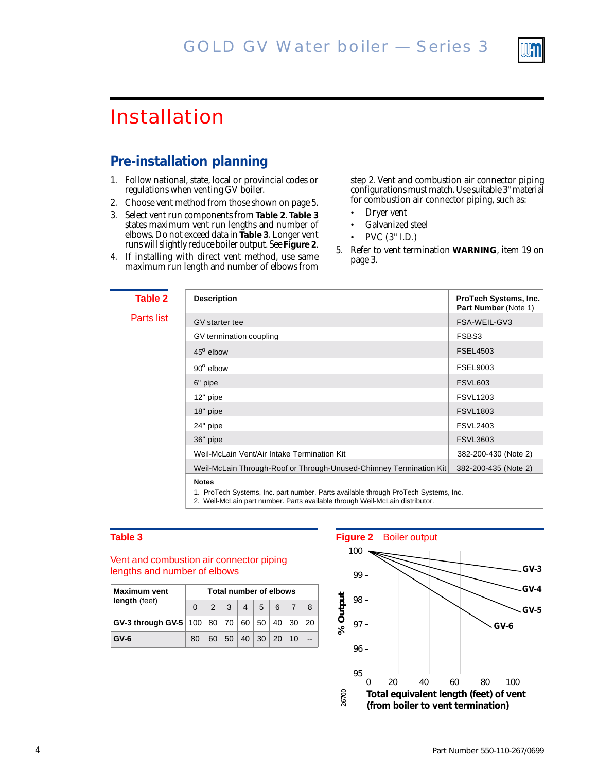

### Installation

#### **Pre-installation planning**

- 1. Follow national, state, local or provincial codes or regulations when venting GV boiler.
- 2. Choose vent method from those shown on page 5.
- 3. Select vent run components from **Table 2**. **Table 3** states maximum vent run lengths and number of elbows. Do not exceed data in **Table 3**. Longer vent runs will slightly reduce boiler output. See **Figure 2**.
- 4. If installing with direct vent method, use same maximum run length and number of elbows from

step 2. Vent and combustion air connector piping configurations must match. Use suitable 3" material for combustion air connector piping, such as:

- Dryer vent
- Galvanized steel
- PVC (3" I.D.)
- 5. Refer to vent termination **WARNING**, item 19 on page 3.

|                    | <b>Description</b>                                                                  | ProTech Systems, Inc.<br>Part Number (Note 1) |
|--------------------|-------------------------------------------------------------------------------------|-----------------------------------------------|
|                    | GV starter tee                                                                      | FSA-WEIL-GV3                                  |
|                    | GV termination coupling                                                             | FSBS3                                         |
| $45^{\circ}$ elbow |                                                                                     | <b>FSEL4503</b>                               |
| $90^{\circ}$ elbow |                                                                                     | <b>FSEL9003</b>                               |
| 6" pipe            |                                                                                     | <b>FSVL603</b>                                |
| 12" pipe           |                                                                                     | <b>FSVL1203</b>                               |
| 18" pipe           |                                                                                     | <b>FSVL1803</b>                               |
| 24" pipe           |                                                                                     | <b>FSVL2403</b>                               |
| 36" pipe           |                                                                                     | <b>FSVL3603</b>                               |
|                    | Weil-McLain Vent/Air Intake Termination Kit                                         | 382-200-430 (Note 2)                          |
|                    | Weil-McLain Through-Roof or Through-Unused-Chimney Termination Kit                  | 382-200-435 (Note 2)                          |
| <b>Notes</b>       | 1. ProTech Systems, Inc. part number. Parts available through ProTech Systems, Inc. |                                               |

2. Weil-McLain part number. Parts available through Weil-McLain distributor.

Parts

#### Vent and combustion air connector piping lengths and number of elbows

| <b>Maximum vent</b><br>length (feet)                       | Total number of elbows |  |                               |  |  |                             |  |  |  |
|------------------------------------------------------------|------------------------|--|-------------------------------|--|--|-----------------------------|--|--|--|
|                                                            |                        |  | $2 \mid 3 \mid 4 \mid 5 \mid$ |  |  | 6 <sup>1</sup>              |  |  |  |
| GV-3 through GV-5   100   80   70   60   50   40   30   20 |                        |  |                               |  |  |                             |  |  |  |
| $GV-6$                                                     | 80                     |  |                               |  |  | 60   50   40   30   20   10 |  |  |  |

#### **Table 3 Figure 2** Boiler output

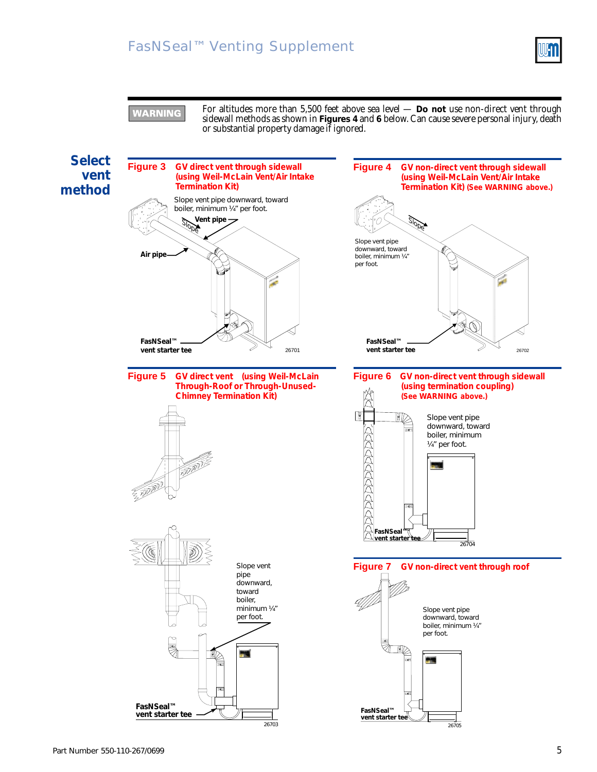### FasNSeal™ Venting Supplement



**VARNING** 

For altitudes more than 5,500 feet above sea level — **Do not** use non-direct vent through sidewall methods as shown in **Figures 4** and **6** below. Can cause severe personal injury, death or substantial property damage if ignored.

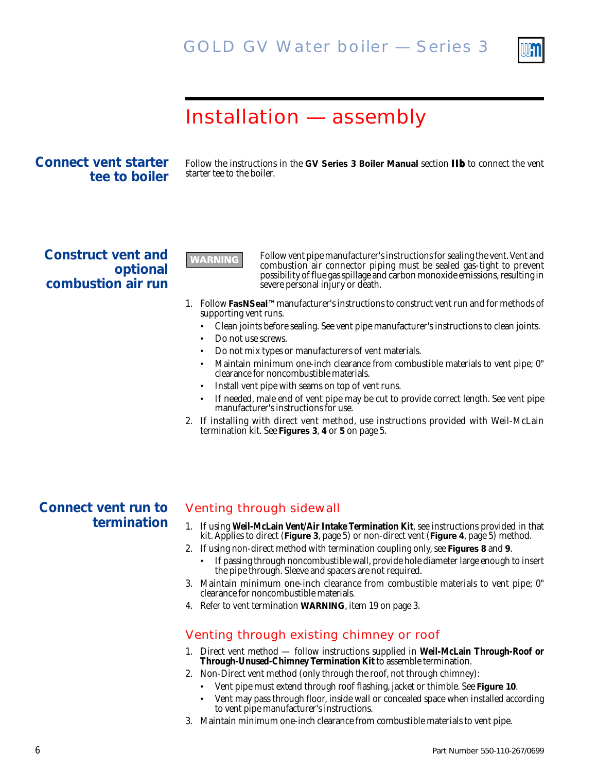

### Installation — assembly

#### **Connect vent starter tee to boiler**

Follow the instructions in the **GV Series 3 Boiler Manual** section **IIb** to connect the vent starter tee to the boiler.

**Construct vent and optional combustion air run**

Follow vent pipe manufacturer's instructions for sealing the vent. Vent and combustion air connector piping must be sealed gas-tight to prevent possibility of flue gas spillage and carbon monoxide emissions, resulting in severe personal injury or death.

- 1. Follow **FasNSeal™**manufacturer's instructions to construct vent run and for methods of supporting vent runs.
	- Clean joints before sealing. See vent pipe manufacturer's instructions to clean joints.
	- Do not use screws.

**WARNING** 

- Do not mix types or manufacturers of vent materials.
- Maintain minimum one-inch clearance from combustible materials to vent pipe; 0" clearance for noncombustible materials.
- Install vent pipe with seams on top of vent runs.
- If needed, male end of vent pipe may be cut to provide correct length. See vent pipe manufacturer's instructions for use.
- 2. If installing with direct vent method, use instructions provided with Weil-McLain termination kit. See **Figures 3**, **4** or **5** on page 5.

#### **Connect vent run to termination**

#### Venting through sidewall

- 1. If using **Weil-McLain Vent/Air Intake Termination Kit**, see instructions provided in that kit. Applies to direct (**Figure 3**, page 5) or non-direct vent (**Figure 4**, page 5) method.
- 2. If using non-direct method with termination coupling only, see **Figures 8** and **9**.
	- If passing through noncombustible wall, provide hole diameter large enough to insert the pipe through. Sleeve and spacers are not required.
- 3. Maintain minimum one-inch clearance from combustible materials to vent pipe; 0" clearance for noncombustible materials.
- 4. Refer to vent termination **WARNING**, item 19 on page 3.

#### Venting through existing chimney or roof

- 1. Direct vent method follow instructions supplied in **Weil-McLain Through-Roof or Through-Unused-Chimney Termination Kit** to assemble termination.
- 2. Non-Direct vent method (only through the roof, not through chimney):
	- Vent pipe must extend through roof flashing, jacket or thimble. See **Figure 10**.
	- Vent may pass through floor, inside wall or concealed space when installed according to vent pipe manufacturer's instructions.
- 3. Maintain minimum one-inch clearance from combustible materials to vent pipe.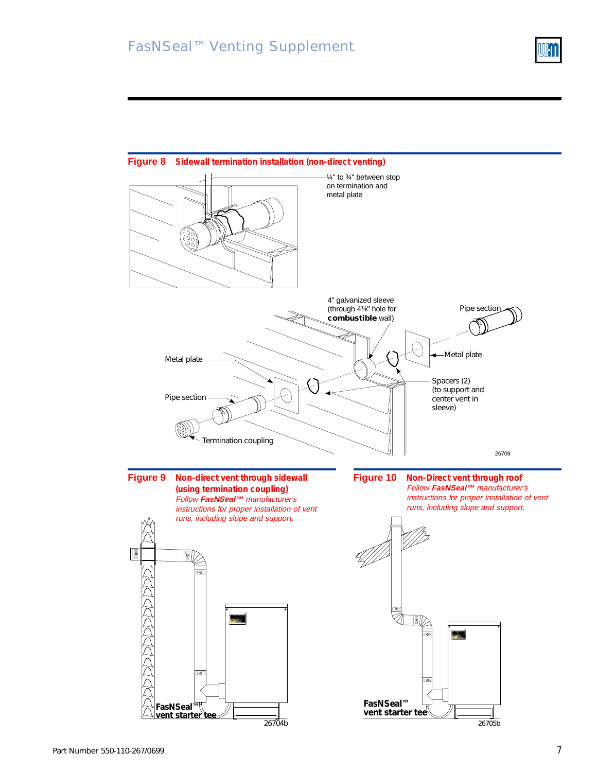